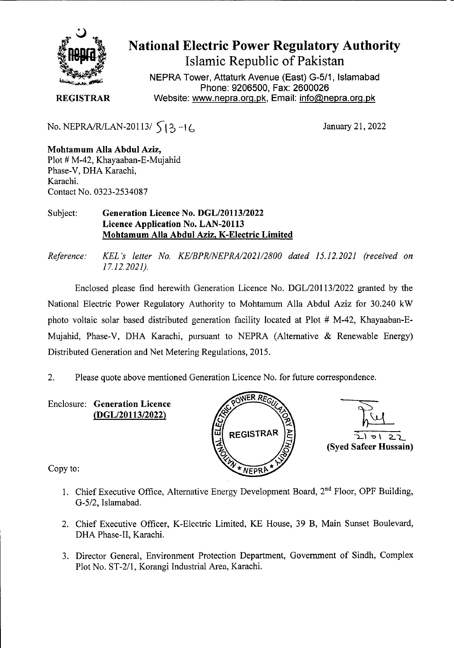

## **National Electric Power Regulatory Authority Islamic Republic of Pakistan**

NEPRA Tower, Attaturk Avenue (East) G-511, Islamabad Phone: 9206500, Fax: 2600026 **REGISTRAR Website: www.nepra.org.pk, Email: info@nepra.org.pk** 

No. NEPRA/R/LAN-20113/  $\begin{cases} 3 \\ 4 \end{cases}$  +  $\begin{cases} 6 \\ 4 \end{cases}$  January 21, 2022

**Mohtamum Alla Abdul Aziz,**  Plot # M-42, Khayaaban-E-Mujahid Phase-V, DHA Karachi, Karachi. Contact No. 0323-2534087

## Subject: **Generation Licence** No. DGL/20113/2022 Licence Application No. LAN-20113 **Mohtamum Alla Abdul Aziz, K-Electric Limited**

*Reference: KEL 's letter No. KE/BPR/NEPRA/2021/2800 dated 15.12.202] (received on 17.12.2021).* 

Enclosed please find herewith Generation Licence No. DGL/20113/2022 granted by the National Electric Power Regulatory Authority to Mohtamum Alla Abdul Aziz for 30.240 kW photo voltaic solar based distributed generation facility located at Plot # M-42, Khayaaban-E-Mujahid, Phase-V, DHA Karachi, pursuant to NEPRA (Alternative & Renewable Energy) Distributed Generation and Net Metering Regulations, 2015. Fraction Licence No. DGL/20113/2022 granted by the<br>to Mohtamum Alla Abdul Aziz for 30.240 kW<br>on facility located at Plot # M-42, Khayaaban-E-<br>to NEPRA (Alternative & Renewable Energy)<br>ations, 2015.<br>The Mechanical Scheme H

2. Please quote above mentioned Generation Licence No. for future correspondence.

**Enclosure: Generation Licence (DGL/20113/2022)** 





Copy to:

- 1. Chief Executive Office, Alternative Energy Development Board, 2<sup>nd</sup> Floor, OPF Building, G-5/2, Islamabad.
- 2. Chief Executive Officer, K-Electric Limited, KE House, 39 B, Main Sunset Boulevard, DHA Phase-Il, Karachi.
- 3. Director General, Environment Protection Department, Government of Sindh, Complex Plot No. ST-2/1, Korangi Industrial Area, Karachi.